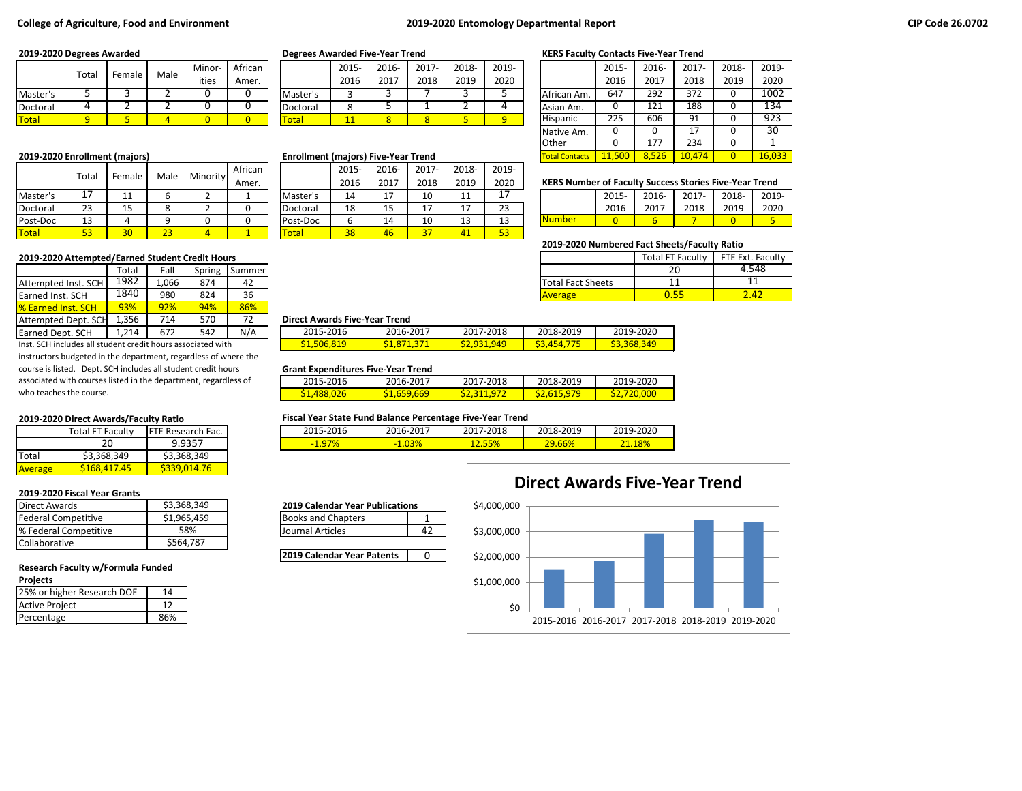### **College of Agriculture, Food and Environment 2019-2020 Entomology Departmental Report**

|              | Total | Female | Male  | Minor- | African |              | 2015 | 2016- | 2017 | 2018- | 2019- |                 | 2015 | 2016- | 2017     | 2018- | 2019-            |
|--------------|-------|--------|-------|--------|---------|--------------|------|-------|------|-------|-------|-----------------|------|-------|----------|-------|------------------|
|              |       |        | ities | Amer.  |         | 2016         | 2017 | 2018  | 2019 | 2020  |       | 2016            | 2017 | 2018  | 2019     | 2020  |                  |
| Master's     |       |        |       |        |         | Master's     |      |       |      |       |       | African Am.     | 647  | 292   | 372      |       | 1002             |
| Doctoral     |       |        |       |        |         | Doctoral     | o    |       |      |       |       | IAsian Am.      |      | 121   | 188      |       | $\overline{134}$ |
| <b>Total</b> | o     |        |       |        |         | <b>Total</b> | 11   |       |      |       |       | <b>Hispanic</b> | 225  | 606   | 91<br>-- |       | 923              |

|          | Totai    | Female          | Male                          | Minority | African |              | 2015- | 2016-   | 2017- | 2018-      | 2019-           |                                                               |      |       |       |       |       |
|----------|----------|-----------------|-------------------------------|----------|---------|--------------|-------|---------|-------|------------|-----------------|---------------------------------------------------------------|------|-------|-------|-------|-------|
|          |          |                 |                               |          | Amer.   |              | 2016  | 2017    | 2018  | 2019       | 2020            | <b>KERS Number of Faculty Success Stories Five-Year Trend</b> |      |       |       |       |       |
| Master's |          | 44<br><b>__</b> |                               |          |         | Master's     | 14    | 17      | 10    | <b>. .</b> |                 |                                                               | 2015 | 2016- | 2017- | 2018- | 2019- |
| Doctoral | าว<br>دے | 1 E<br>ᅩ        | $\Omega$                      |          |         | Doctoral     | 18    | 15<br>ᅩ | 17    |            | 23              |                                                               | 2016 | 2017  | 2018  | 2019  | 2020  |
| Post-Doc | 12<br>ᅩ  |                 | ∩                             |          |         | Post-Doc     |       | 14      | 10    |            |                 | <b>Number</b>                                                 |      |       |       |       |       |
| Total    | JJ       | $\sim$          | $\overline{\mathbf{a}}$<br>23 |          |         | <b>Total</b> | 38    | 46      | 27    |            | 53 <sup>°</sup> |                                                               |      |       |       |       |       |

#### **2019-2020 Attempted/Earned Student Credit Hours**

|                            | Total | Fall  | Spring | Summer |                                      |           |           |                          |  |
|----------------------------|-------|-------|--------|--------|--------------------------------------|-----------|-----------|--------------------------|--|
| Attempted Inst. SCH        | 1982  | 1.066 | 874    | 42     |                                      |           |           | <b>Total Fact Sheets</b> |  |
| Earned Inst. SCH           | 1840  | 980   | 824    | 36     |                                      |           |           | <b>Average</b>           |  |
| <b>1% Earned Inst. SCH</b> | 93%   | 92%   | 94%    | 86%    |                                      |           |           |                          |  |
| Attempted Dept. SCH        | 356ء  | 714   | 570    | 72     | <b>Direct Awards Five-Year Trend</b> |           |           |                          |  |
| Earned Dept. SCH           | 1,214 | 672   | 542    | N/A    | 2015-2016                            | 2016-2017 | 2017-2018 | 2018-2019                |  |

Inst. SCH includes all student credit hours associated with instructors budgeted in the department, regardless of where the course is listed. Dept. SCH includes all student credit hours associated with courses listed in the department, regardless of who teaches the course.

|         | <b>Total FT Faculty</b> | <b>IFTE Research Fac.</b> |  |  |
|---------|-------------------------|---------------------------|--|--|
|         | 20                      | 9.9357                    |  |  |
| Total   | \$3,368,349             | \$3,368,349               |  |  |
| Average | S <sub>168</sub> 417.45 | S339.014.76               |  |  |

## **2019-2020 Fiscal Year Grants**

| \$3,368,349<br>Direct Awards<br><b>2019 Calendar Year Publications</b> |    |
|------------------------------------------------------------------------|----|
| \$1,965,459<br>Federal Competitive<br><b>Books and Chapters</b>        |    |
| 58%<br><sup>8</sup> Federal Competitive<br>Journal Articles            | 42 |
| \$564.787<br>Collaborative                                             |    |

# **Research Faculty w/Formula Funded**

#### **Projects**

| .                          |    |
|----------------------------|----|
| 25% or higher Research DOE | 14 |
| <b>Active Project</b>      |    |
| Percentage                 |    |

|          | 2015- | $2016 -$ | $2017 -$ | 2018- | 2019- |
|----------|-------|----------|----------|-------|-------|
|          | 2016  | 2017     | 2018     | 2019  | 2020  |
| Master's |       |          |          |       |       |
| Doctoral |       |          |          |       |       |
| otal     |       |          |          |       |       |

### **2019-2020 Enrollment (majors) <b>Enrollment (majors) Enrollment (majors)** Five-Year Trend

|          | 2015- | 2016- | $2017 -$ | 2018- | 2019- |
|----------|-------|-------|----------|-------|-------|
|          | 2016  | 2017  | 2018     | 2019  | 2020  |
| Master's | 14    | 17    | 10       | 11    | 17    |
| Doctoral | 18    | 15    | 17       | 17    | 23    |
| Post-Doc | 6     | 14    | 10       | 13    | 13    |
| 'otal    | 38    | 46    |          |       | 53    |

## **2019-2020 Degrees Awarded Degrees Awarded Five-Year Trend KERS Faculty Contacts Five-Year Trend**

|                       | 2015-  | 2016- | 2017-  | 2018- | 2019-  |
|-----------------------|--------|-------|--------|-------|--------|
|                       | 2016   | 2017  | 2018   | 2019  | 2020   |
| African Am.           | 647    | 292   | 372    | 0     | 1002   |
| Asian Am.             | 0      | 121   | 188    | 0     | 134    |
| Hispanic              | 225    | 606   | 91     | 0     | 923    |
| Native Am.            | 0      | 0     | 17     | 0     | 30     |
| Other                 |        | 177   | 234    | 0     |        |
| <b>Total Contacts</b> | 11,500 | 8.526 | 10.474 | O     | 16,033 |

## **KERS Number of Faculty Success Stories Five-Year Trend**

|               | $2015 -$ | 2016- | 2017- 2018- |      | 2019- |
|---------------|----------|-------|-------------|------|-------|
|               | 2016     | 2017  | 2018        | 2019 | 2020  |
| <u>Number</u> |          |       |             |      |       |

## **2019-2020 Numbered Fact Sheets/Faculty Ratio**

|                          | <b>Total FT Faculty</b> | FTE Ext. Faculty |
|--------------------------|-------------------------|------------------|
|                          | ∍∩                      |                  |
| <b>Total Fact Sheets</b> |                         |                  |
| <b>Average</b>           |                         |                  |

#### 1,356 714 570 72 **Direct Awards Five-Year Trend**

|                    | _  _ _ _          |                    |           |                   |  |  |  |  |  |  |  |
|--------------------|-------------------|--------------------|-----------|-------------------|--|--|--|--|--|--|--|
| 2015-2016          | 2016-2017         | 2017-2018          | 2018-2019 | 2019-2020         |  |  |  |  |  |  |  |
| <u>\$1,506,819</u> | <u>51,871,371</u> | <u>\$2,931,949</u> | S3.454.7  | <b>S3,368,349</b> |  |  |  |  |  |  |  |

#### **Grant Expenditures Five-Year Trend**

| 2015-2016          | 2016-2017   | 2017-2018               | 2018-2019   | 2019-2020  |
|--------------------|-------------|-------------------------|-------------|------------|
| <u>\$1,488,026</u> | \$1,659,669 | S <sub>2</sub> ,311,972 | \$2,615,979 | S2.720.000 |

#### **2019-2020 Direct Awards/Faculty Ratio Fiscal Year State Fund Balance Percentage Five-Year Trend**

| 2015-2016 | 2016-2017 | .7-2018<br>201 | 2018-2019     | 2019-2020 |
|-----------|-----------|----------------|---------------|-----------|
| $-1.97%$  | $-1.03%$  |                | <u>29.66%</u> | 8%        |

#### **2019 Calendar Year Publications**

| <b>Books and Chapters</b> |  |
|---------------------------|--|
| Llournal Articles         |  |

**2019 Calendar Year Patents** | 0

# \$4,000,000 **Direct Awards Five-Year Trend**

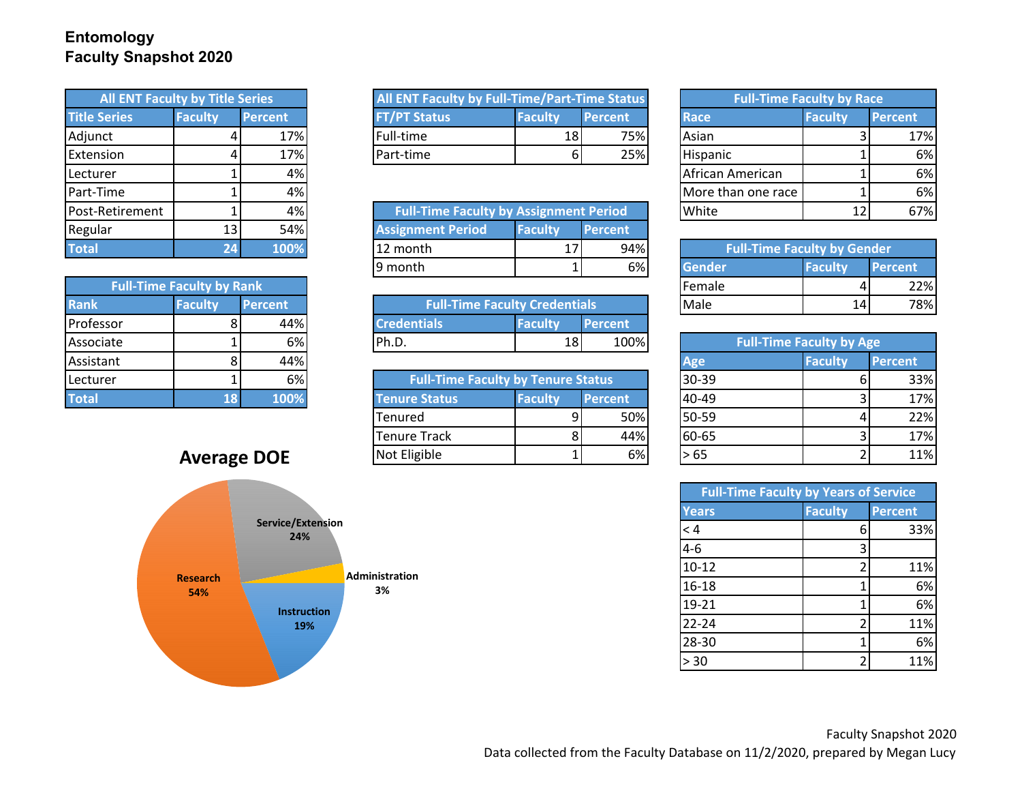## **Entomology Faculty Snapshot 2020**

| <b>All ENT Faculty by Title Series</b> |                |                |  |
|----------------------------------------|----------------|----------------|--|
| <b>Title Series</b>                    | <b>Faculty</b> | <b>Percent</b> |  |
| Adjunct                                |                | 17%            |  |
| Extension                              |                | 17%            |  |
| Lecturer                               |                | 4%             |  |
| Part-Time                              |                | 4%             |  |
| Post-Retirement                        |                | 4%             |  |
| Regular                                | 13             | 54%            |  |
| <b>Total</b>                           | 24             | 100%           |  |

| <b>Full-Time Faculty by Rank</b> |                                  |      |  |  |  |  |  |  |
|----------------------------------|----------------------------------|------|--|--|--|--|--|--|
| <b>Rank</b>                      | <b>Faculty</b><br><b>Percent</b> |      |  |  |  |  |  |  |
| Professor                        | 8                                | 44%  |  |  |  |  |  |  |
| Associate                        |                                  | 6%   |  |  |  |  |  |  |
| Assistant                        | 8                                | 44%  |  |  |  |  |  |  |
| Lecturer                         |                                  | 6%   |  |  |  |  |  |  |
| <b>Total</b>                     | 18                               | 100% |  |  |  |  |  |  |

# **Average DOE**



| All ENT Faculty by Title Series |                |                | All ENT Faculty by Full-Time/Part-Time Status |                 |                |  | <b>Full-Time Faculty by Race</b> |                |         |
|---------------------------------|----------------|----------------|-----------------------------------------------|-----------------|----------------|--|----------------------------------|----------------|---------|
| <b>Title Series</b>             | <b>Faculty</b> | <b>Percent</b> | T/PT Status                                   | <b>Faculty</b>  | <b>Percent</b> |  | <b>IRace</b>                     | <b>Faculty</b> | Percent |
| Adjunct                         |                | 17%            | Full-time                                     | 18 <sup>1</sup> | 75%            |  | <b>Asian</b>                     |                | 17%     |
| <b>Extension</b>                |                | 17%            | Part-time                                     | οı              | 25%            |  | <b>Hispanic</b>                  |                | 6%      |

| Post-Retirement |    | 4%   |                          | White<br><b>Full-Time Faculty by Assignment Period</b> |                |  | 1.<br>ᆠ                            | 67%            |         |
|-----------------|----|------|--------------------------|--------------------------------------------------------|----------------|--|------------------------------------|----------------|---------|
| Regular         | 13 | 54%  | <b>Assignment Period</b> | <b>Faculty</b>                                         | <b>Percent</b> |  |                                    |                |         |
| Total           |    | 100% | 12 month                 | 17                                                     | 94%            |  | <b>Full-Time Faculty by Gender</b> |                |         |
|                 |    |      | 19 month                 |                                                        | 6%             |  | Gender                             | <b>Faculty</b> | Percent |

| Rank      | Faculty | <b>vrcent</b> | <b>Full-Time Faculty Credentials</b> |         |                | Male                            | 14 | 78% |
|-----------|---------|---------------|--------------------------------------|---------|----------------|---------------------------------|----|-----|
| Professor | o       | 44%           | ntials                               | Faculty | <b>Percent</b> |                                 |    |     |
| Associate |         | 6%            | ldh n<br>n.v.                        | 18      | 100%           | <b>Full-Time Faculty by Age</b> |    |     |

| Lecturer           |  | 6%   |              | <b>Full-Time Faculty by Tenure Status</b> |                |                | $30-39$ | 33% |
|--------------------|--|------|--------------|-------------------------------------------|----------------|----------------|---------|-----|
| <b>Total</b>       |  | 100% |              | <b>Tenure Status</b>                      | <b>Faculty</b> | <b>Percent</b> | 40-49   | 17% |
|                    |  |      |              | Tenured                                   |                | 50%            | 50-59   | 22% |
|                    |  |      |              | <b>Tenure Track</b>                       |                | 44%            | 60-65   | 17% |
| <b>Average DOE</b> |  |      | Not Eligible |                                           | 6%             | l> 65          | 11%     |     |

| <b>Full-Time Faculty by Race</b> |                 |                |  |  |  |  |  |  |
|----------------------------------|-----------------|----------------|--|--|--|--|--|--|
| <b>Race</b>                      | <b>Faculty</b>  | <b>Percent</b> |  |  |  |  |  |  |
| Asian                            | R               | 17%            |  |  |  |  |  |  |
| Hispanic                         |                 | 6%             |  |  |  |  |  |  |
| African American                 |                 | 6%             |  |  |  |  |  |  |
| More than one race               |                 | 6%             |  |  |  |  |  |  |
| White                            | 12 <sub>1</sub> |                |  |  |  |  |  |  |

| % | <b>Full-Time Faculty by Gender</b> |                |                |
|---|------------------------------------|----------------|----------------|
| % | <b>Gender</b>                      | <b>Faculty</b> | <b>Percent</b> |
|   | Female                             |                |                |
|   | Male                               |                |                |

| % | Ph.D.                                     | 18             | 100%           | <b>Full-Time Faculty by Age</b> |  |                |                |
|---|-------------------------------------------|----------------|----------------|---------------------------------|--|----------------|----------------|
| % |                                           |                |                | Age                             |  | <b>Faculty</b> | <b>Percent</b> |
| % | <b>Full-Time Faculty by Tenure Status</b> |                |                | $30 - 39$                       |  |                | 33%            |
|   | <b>Tenure Status</b>                      | <b>Faculty</b> | <b>Percent</b> | 40-49                           |  |                | 17%            |
|   | Tenured                                   |                | 50%            | 50-59                           |  |                | 22%            |
|   | <b>Tenure Track</b>                       |                | 44%            | 60-65                           |  |                | 17%            |
|   | Not Eligible                              |                | 6%             | > 65                            |  |                | 11%            |

| <b>Full-Time Faculty by Years of Service</b> |                |                |
|----------------------------------------------|----------------|----------------|
| <b>Years</b>                                 | <b>Faculty</b> | <b>Percent</b> |
| < 4                                          | 6              | 33%            |
| $4 - 6$                                      | 3              |                |
| $10 - 12$                                    | 2              | 11%            |
| $16 - 18$                                    |                | 6%             |
| $19 - 21$                                    |                | 6%             |
| 22-24                                        |                | 11%            |
| 28-30                                        |                | 6%             |
| > 30                                         |                | 11%            |